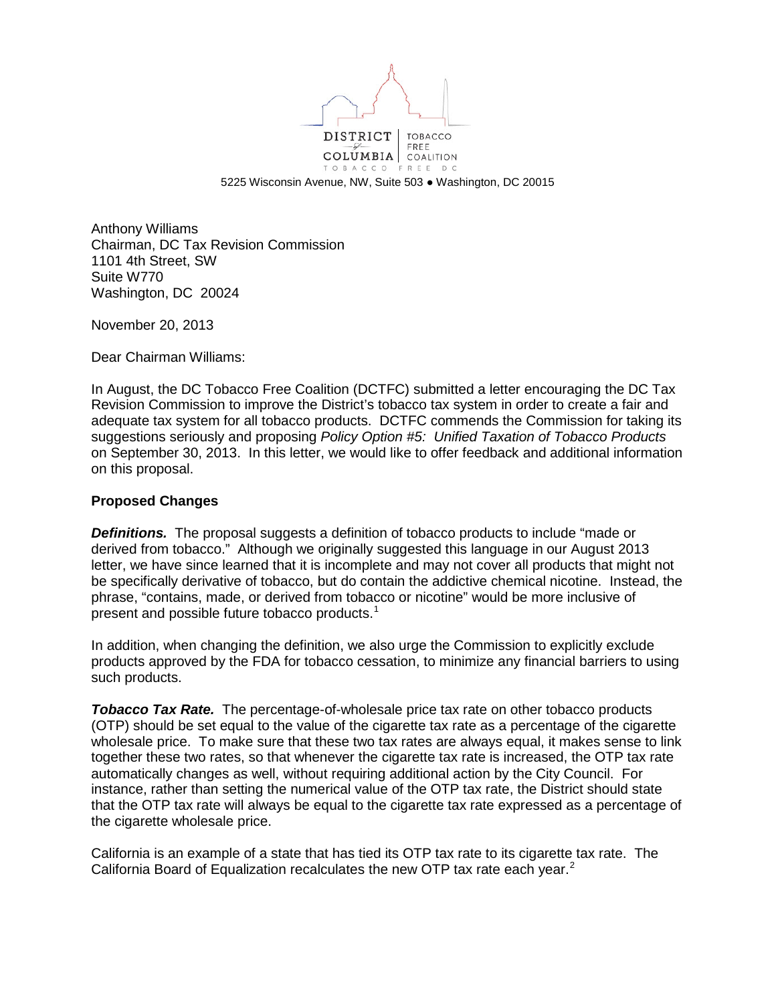

5225 Wisconsin Avenue, NW, Suite 503 ● Washington, DC 20015

Anthony Williams Chairman, DC Tax Revision Commission 1101 4th Street, SW Suite W770 Washington, DC 20024

November 20, 2013

Dear Chairman Williams:

In August, the DC Tobacco Free Coalition (DCTFC) submitted a letter encouraging the DC Tax Revision Commission to improve the District's tobacco tax system in order to create a fair and adequate tax system for all tobacco products. DCTFC commends the Commission for taking its suggestions seriously and proposing *Policy Option #5: Unified Taxation of Tobacco Products* on September 30, 2013. In this letter, we would like to offer feedback and additional information on this proposal.

## **Proposed Changes**

**Definitions.** The proposal suggests a definition of tobacco products to include "made or derived from tobacco." Although we originally suggested this language in our August 2013 letter, we have since learned that it is incomplete and may not cover all products that might not be specifically derivative of tobacco, but do contain the addictive chemical nicotine. Instead, the phrase, "contains, made, or derived from tobacco or nicotine" would be more inclusive of present and possible future tobacco products. $^1$  $^1$ 

In addition, when changing the definition, we also urge the Commission to explicitly exclude products approved by the FDA for tobacco cessation, to minimize any financial barriers to using such products.

**Tobacco Tax Rate.** The percentage-of-wholesale price tax rate on other tobacco products (OTP) should be set equal to the value of the cigarette tax rate as a percentage of the cigarette wholesale price. To make sure that these two tax rates are always equal, it makes sense to link together these two rates, so that whenever the cigarette tax rate is increased, the OTP tax rate automatically changes as well, without requiring additional action by the City Council. For instance, rather than setting the numerical value of the OTP tax rate, the District should state that the OTP tax rate will always be equal to the cigarette tax rate expressed as a percentage of the cigarette wholesale price.

California is an example of a state that has tied its OTP tax rate to its cigarette tax rate. The California Board of Equalization recalculates the new OTP tax rate each year.<sup>[2](#page-2-1)</sup>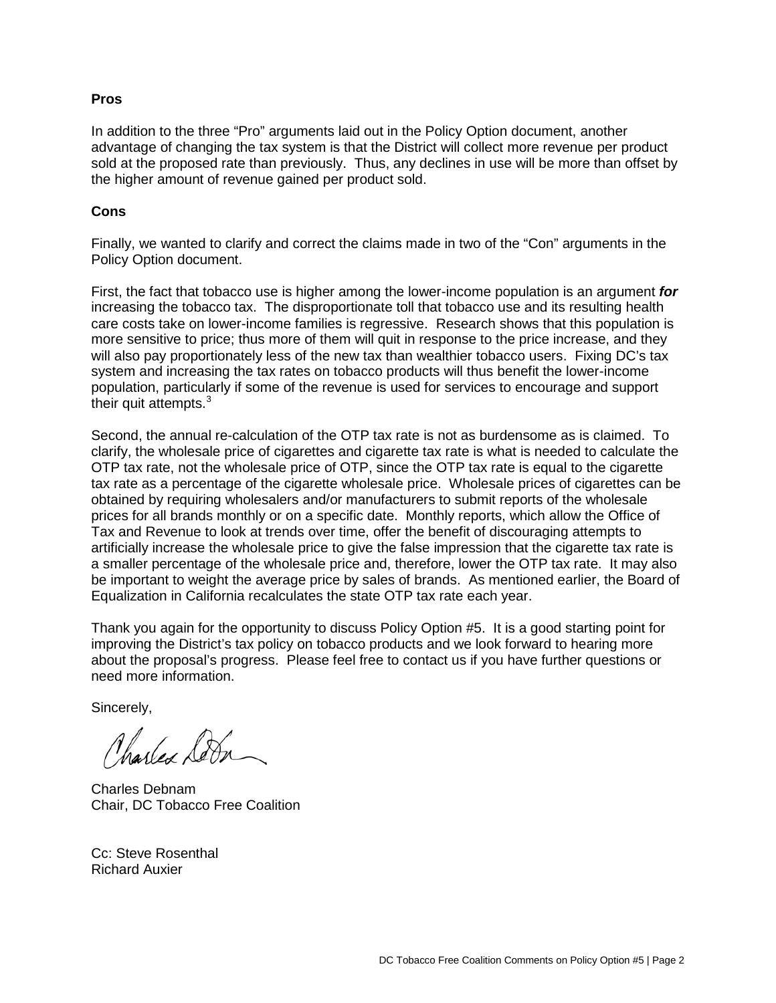## **Pros**

In addition to the three "Pro" arguments laid out in the Policy Option document, another advantage of changing the tax system is that the District will collect more revenue per product sold at the proposed rate than previously. Thus, any declines in use will be more than offset by the higher amount of revenue gained per product sold.

## **Cons**

Finally, we wanted to clarify and correct the claims made in two of the "Con" arguments in the Policy Option document.

First, the fact that tobacco use is higher among the lower-income population is an argument *for* increasing the tobacco tax. The disproportionate toll that tobacco use and its resulting health care costs take on lower-income families is regressive. Research shows that this population is more sensitive to price; thus more of them will quit in response to the price increase, and they will also pay proportionately less of the new tax than wealthier tobacco users. Fixing DC's tax system and increasing the tax rates on tobacco products will thus benefit the lower-income population, particularly if some of the revenue is used for services to encourage and support their quit attempts. $3$ 

Second, the annual re-calculation of the OTP tax rate is not as burdensome as is claimed. To clarify, the wholesale price of cigarettes and cigarette tax rate is what is needed to calculate the OTP tax rate, not the wholesale price of OTP, since the OTP tax rate is equal to the cigarette tax rate as a percentage of the cigarette wholesale price. Wholesale prices of cigarettes can be obtained by requiring wholesalers and/or manufacturers to submit reports of the wholesale prices for all brands monthly or on a specific date. Monthly reports, which allow the Office of Tax and Revenue to look at trends over time, offer the benefit of discouraging attempts to artificially increase the wholesale price to give the false impression that the cigarette tax rate is a smaller percentage of the wholesale price and, therefore, lower the OTP tax rate. It may also be important to weight the average price by sales of brands. As mentioned earlier, the Board of Equalization in California recalculates the state OTP tax rate each year.

Thank you again for the opportunity to discuss Policy Option #5. It is a good starting point for improving the District's tax policy on tobacco products and we look forward to hearing more about the proposal's progress. Please feel free to contact us if you have further questions or need more information.

Sincerely,

Charles Ser

Charles Debnam Chair, DC Tobacco Free Coalition

Cc: Steve Rosenthal Richard Auxier